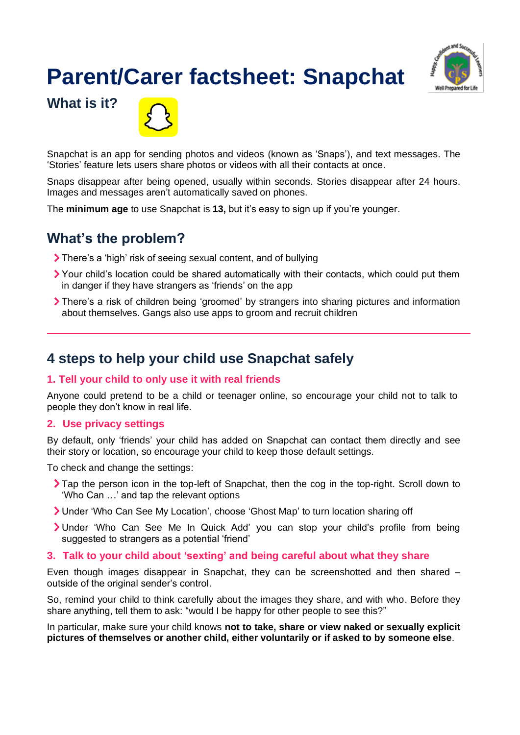# **Parent/Carer factsheet: Snapchat**



**What is it?**



Snapchat is an app for sending photos and videos (known as 'Snaps'), and text messages. The 'Stories' feature lets users share photos or videos with all their contacts at once.

Snaps disappear after being opened, usually within seconds. Stories disappear after 24 hours. Images and messages aren't automatically saved on phones.

The **minimum age** to use Snapchat is **13,** but it's easy to sign up if you're younger.

## **What's the problem?**

- There's a 'high' risk of seeing sexual content, and of bullying
- Your child's location could be shared automatically with their contacts, which could put them in danger if they have strangers as 'friends' on the app
- There's a risk of children being 'groomed' by strangers into sharing pictures and information about themselves. Gangs also use apps to groom and recruit children

## **4 steps to help your child use Snapchat safely**

## **1. Tell your child to only use it with real friends**

Anyone could pretend to be a child or teenager online, so encourage your child not to talk to people they don't know in real life.

#### **2. Use privacy settings**

By default, only 'friends' your child has added on Snapchat can contact them directly and see their story or location, so encourage your child to keep those default settings.

To check and change the settings:

- Tap the person icon in the top-left of Snapchat, then the cog in the top-right. Scroll down to 'Who Can …' and tap the relevant options
- Under 'Who Can See My Location', choose 'Ghost Map' to turn location sharing off
- Under 'Who Can See Me In Quick Add' you can stop your child's profile from being suggested to strangers as a potential 'friend'
- **3. Talk to your child about 'sexting' and being careful about what they share**

Even though images disappear in Snapchat, they can be screenshotted and then shared – outside of the original sender's control.

So, remind your child to think carefully about the images they share, and with who. Before they share anything, tell them to ask: "would I be happy for other people to see this?"

In particular, make sure your child knows **not to take, share or view naked or sexually explicit pictures of themselves or another child, either voluntarily or if asked to by someone else**.